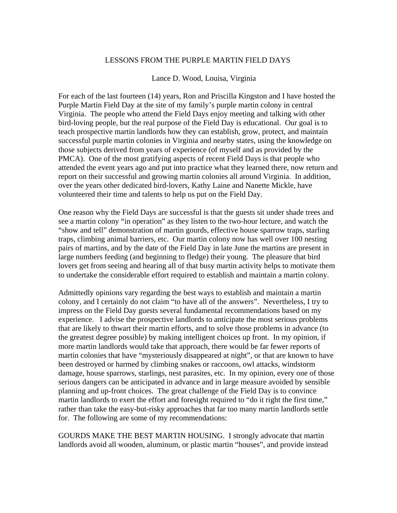## LESSONS FROM THE PURPLE MARTIN FIELD DAYS

## Lance D. Wood, Louisa, Virginia

For each of the last fourteen (14) years, Ron and Priscilla Kingston and I have hosted the Purple Martin Field Day at the site of my family's purple martin colony in central Virginia. The people who attend the Field Days enjoy meeting and talking with other bird-loving people, but the real purpose of the Field Day is educational. Our goal is to teach prospective martin landlords how they can establish, grow, protect, and maintain successful purple martin colonies in Virginia and nearby states, using the knowledge on those subjects derived from years of experience (of myself and as provided by the PMCA). One of the most gratifying aspects of recent Field Days is that people who attended the event years ago and put into practice what they learned there, now return and report on their successful and growing martin colonies all around Virginia. In addition, over the years other dedicated bird-lovers, Kathy Laine and Nanette Mickle, have volunteered their time and talents to help us put on the Field Day.

One reason why the Field Days are successful is that the guests sit under shade trees and see a martin colony "in operation" as they listen to the two-hour lecture, and watch the "show and tell" demonstration of martin gourds, effective house sparrow traps, starling traps, climbing animal barriers, etc. Our martin colony now has well over 100 nesting pairs of martins, and by the date of the Field Day in late June the martins are present in large numbers feeding (and beginning to fledge) their young. The pleasure that bird lovers get from seeing and hearing all of that busy martin activity helps to motivate them to undertake the considerable effort required to establish and maintain a martin colony.

Admittedly opinions vary regarding the best ways to establish and maintain a martin colony, and I certainly do not claim "to have all of the answers". Nevertheless, I try to impress on the Field Day guests several fundamental recommendations based on my experience. I advise the prospective landlords to anticipate the most serious problems that are likely to thwart their martin efforts, and to solve those problems in advance (to the greatest degree possible) by making intelligent choices up front. In my opinion, if more martin landlords would take that approach, there would be far fewer reports of martin colonies that have "mysteriously disappeared at night", or that are known to have been destroyed or harmed by climbing snakes or raccoons, owl attacks, windstorm damage, house sparrows, starlings, nest parasites, etc. In my opinion, every one of those serious dangers can be anticipated in advance and in large measure avoided by sensible planning and up-front choices. The great challenge of the Field Day is to convince martin landlords to exert the effort and foresight required to "do it right the first time," rather than take the easy-but-risky approaches that far too many martin landlords settle for. The following are some of my recommendations:

GOURDS MAKE THE BEST MARTIN HOUSING. I strongly advocate that martin landlords avoid all wooden, aluminum, or plastic martin "houses", and provide instead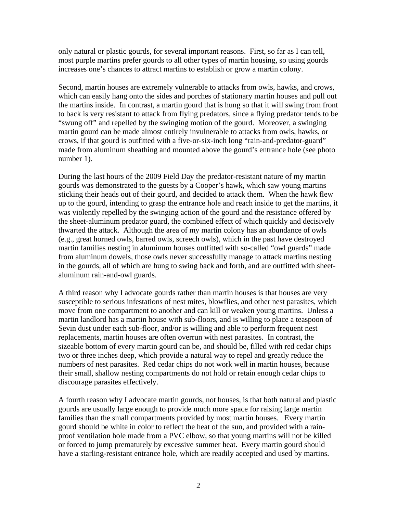only natural or plastic gourds, for several important reasons. First, so far as I can tell, most purple martins prefer gourds to all other types of martin housing, so using gourds increases one's chances to attract martins to establish or grow a martin colony.

Second, martin houses are extremely vulnerable to attacks from owls, hawks, and crows, which can easily hang onto the sides and porches of stationary martin houses and pull out the martins inside. In contrast, a martin gourd that is hung so that it will swing from front to back is very resistant to attack from flying predators, since a flying predator tends to be "swung off" and repelled by the swinging motion of the gourd. Moreover, a swinging martin gourd can be made almost entirely invulnerable to attacks from owls, hawks, or crows, if that gourd is outfitted with a five-or-six-inch long "rain-and-predator-guard" made from aluminum sheathing and mounted above the gourd's entrance hole (see photo number 1).

During the last hours of the 2009 Field Day the predator-resistant nature of my martin gourds was demonstrated to the guests by a Cooper's hawk, which saw young martins sticking their heads out of their gourd, and decided to attack them. When the hawk flew up to the gourd, intending to grasp the entrance hole and reach inside to get the martins, it was violently repelled by the swinging action of the gourd and the resistance offered by the sheet-aluminum predator guard, the combined effect of which quickly and decisively thwarted the attack. Although the area of my martin colony has an abundance of owls (e.g., great horned owls, barred owls, screech owls), which in the past have destroyed martin families nesting in aluminum houses outfitted with so-called "owl guards" made from aluminum dowels, those owls never successfully manage to attack martins nesting in the gourds, all of which are hung to swing back and forth, and are outfitted with sheetaluminum rain-and-owl guards.

A third reason why I advocate gourds rather than martin houses is that houses are very susceptible to serious infestations of nest mites, blowflies, and other nest parasites, which move from one compartment to another and can kill or weaken young martins. Unless a martin landlord has a martin house with sub-floors, and is willing to place a teaspoon of Sevin dust under each sub-floor, and/or is willing and able to perform frequent nest replacements, martin houses are often overrun with nest parasites. In contrast, the sizeable bottom of every martin gourd can be, and should be, filled with red cedar chips two or three inches deep, which provide a natural way to repel and greatly reduce the numbers of nest parasites. Red cedar chips do not work well in martin houses, because their small, shallow nesting compartments do not hold or retain enough cedar chips to discourage parasites effectively.

A fourth reason why I advocate martin gourds, not houses, is that both natural and plastic gourds are usually large enough to provide much more space for raising large martin families than the small compartments provided by most martin houses. Every martin gourd should be white in color to reflect the heat of the sun, and provided with a rainproof ventilation hole made from a PVC elbow, so that young martins will not be killed or forced to jump prematurely by excessive summer heat. Every martin gourd should have a starling-resistant entrance hole, which are readily accepted and used by martins.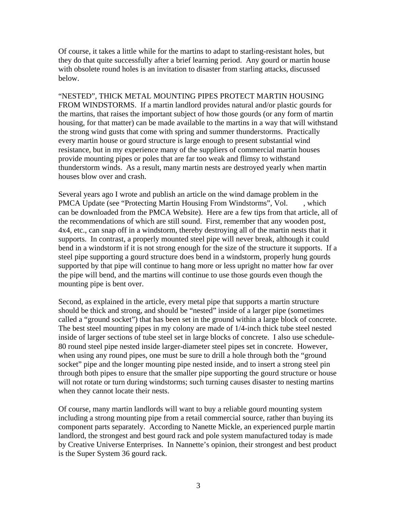Of course, it takes a little while for the martins to adapt to starling-resistant holes, but they do that quite successfully after a brief learning period. Any gourd or martin house with obsolete round holes is an invitation to disaster from starling attacks, discussed below.

"NESTED", THICK METAL MOUNTING PIPES PROTECT MARTIN HOUSING FROM WINDSTORMS. If a martin landlord provides natural and/or plastic gourds for the martins, that raises the important subject of how those gourds (or any form of martin housing, for that matter) can be made available to the martins in a way that will withstand the strong wind gusts that come with spring and summer thunderstorms. Practically every martin house or gourd structure is large enough to present substantial wind resistance, but in my experience many of the suppliers of commercial martin houses provide mounting pipes or poles that are far too weak and flimsy to withstand thunderstorm winds. As a result, many martin nests are destroyed yearly when martin houses blow over and crash.

Several years ago I wrote and publish an article on the wind damage problem in the PMCA Update (see "Protecting Martin Housing From Windstorms", Vol. , which can be downloaded from the PMCA Website). Here are a few tips from that article, all of the recommendations of which are still sound. First, remember that any wooden post, 4x4, etc., can snap off in a windstorm, thereby destroying all of the martin nests that it supports. In contrast, a properly mounted steel pipe will never break, although it could bend in a windstorm if it is not strong enough for the size of the structure it supports. If a steel pipe supporting a gourd structure does bend in a windstorm, properly hung gourds supported by that pipe will continue to hang more or less upright no matter how far over the pipe will bend, and the martins will continue to use those gourds even though the mounting pipe is bent over.

Second, as explained in the article, every metal pipe that supports a martin structure should be thick and strong, and should be "nested" inside of a larger pipe (sometimes called a "ground socket") that has been set in the ground within a large block of concrete. The best steel mounting pipes in my colony are made of 1/4-inch thick tube steel nested inside of larger sections of tube steel set in large blocks of concrete. I also use schedule-80 round steel pipe nested inside larger-diameter steel pipes set in concrete. However, when using any round pipes, one must be sure to drill a hole through both the "ground socket" pipe and the longer mounting pipe nested inside, and to insert a strong steel pin through both pipes to ensure that the smaller pipe supporting the gourd structure or house will not rotate or turn during windstorms; such turning causes disaster to nesting martins when they cannot locate their nests.

Of course, many martin landlords will want to buy a reliable gourd mounting system including a strong mounting pipe from a retail commercial source, rather than buying its component parts separately. According to Nanette Mickle, an experienced purple martin landlord, the strongest and best gourd rack and pole system manufactured today is made by Creative Universe Enterprises. In Nannette's opinion, their strongest and best product is the Super System 36 gourd rack.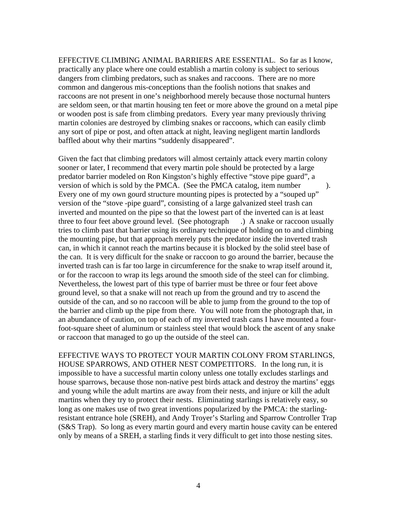EFFECTIVE CLIMBING ANIMAL BARRIERS ARE ESSENTIAL. So far as I know, practically any place where one could establish a martin colony is subject to serious dangers from climbing predators, such as snakes and raccoons. There are no more common and dangerous mis-conceptions than the foolish notions that snakes and raccoons are not present in one's neighborhood merely because those nocturnal hunters are seldom seen, or that martin housing ten feet or more above the ground on a metal pipe or wooden post is safe from climbing predators. Every year many previously thriving martin colonies are destroyed by climbing snakes or raccoons, which can easily climb any sort of pipe or post, and often attack at night, leaving negligent martin landlords baffled about why their martins "suddenly disappeared".

Given the fact that climbing predators will almost certainly attack every martin colony sooner or later, I recommend that every martin pole should be protected by a large predator barrier modeled on Ron Kingston's highly effective "stove pipe guard", a version of which is sold by the PMCA. (See the PMCA catalog, item number ). Every one of my own gourd structure mounting pipes is protected by a "souped up" version of the "stove -pipe guard", consisting of a large galvanized steel trash can inverted and mounted on the pipe so that the lowest part of the inverted can is at least three to four feet above ground level. (See photograph .) A snake or raccoon usually tries to climb past that barrier using its ordinary technique of holding on to and climbing the mounting pipe, but that approach merely puts the predator inside the inverted trash can, in which it cannot reach the martins because it is blocked by the solid steel base of the can. It is very difficult for the snake or raccoon to go around the barrier, because the inverted trash can is far too large in circumference for the snake to wrap itself around it, or for the raccoon to wrap its legs around the smooth side of the steel can for climbing. Nevertheless, the lowest part of this type of barrier must be three or four feet above ground level, so that a snake will not reach up from the ground and try to ascend the outside of the can, and so no raccoon will be able to jump from the ground to the top of the barrier and climb up the pipe from there. You will note from the photograph that, in an abundance of caution, on top of each of my inverted trash cans I have mounted a fourfoot-square sheet of aluminum or stainless steel that would block the ascent of any snake or raccoon that managed to go up the outside of the steel can.

EFFECTIVE WAYS TO PROTECT YOUR MARTIN COLONY FROM STARLINGS, HOUSE SPARROWS, AND OTHER NEST COMPETITORS. In the long run, it is impossible to have a successful martin colony unless one totally excludes starlings and house sparrows, because those non-native pest birds attack and destroy the martins' eggs and young while the adult martins are away from their nests, and injure or kill the adult martins when they try to protect their nests. Eliminating starlings is relatively easy, so long as one makes use of two great inventions popularized by the PMCA: the starlingresistant entrance hole (SREH), and Andy Troyer's Starling and Sparrow Controller Trap (S&S Trap). So long as every martin gourd and every martin house cavity can be entered only by means of a SREH, a starling finds it very difficult to get into those nesting sites.